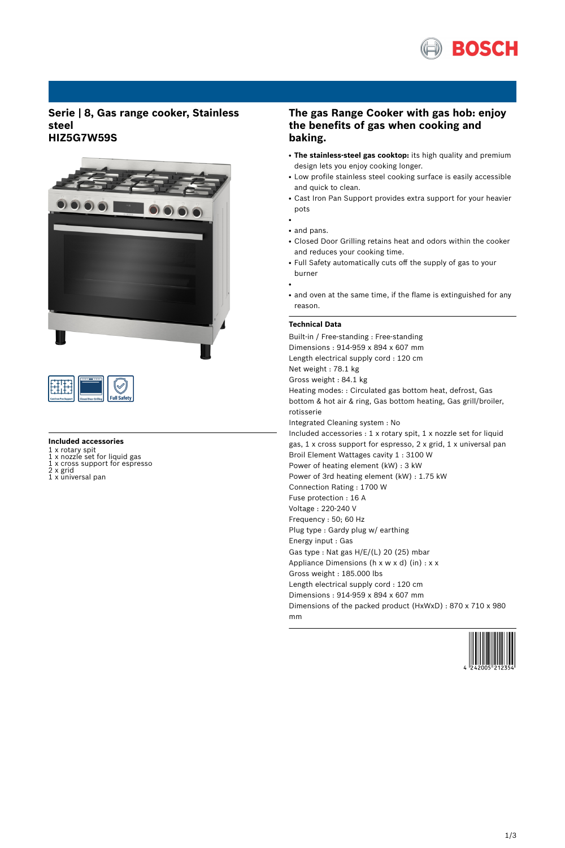

## **Serie | 8, Gas range cooker, Stainless steel HIZ5G7W59S**



| d Door Gr | Safety |
|-----------|--------|

#### **Included accessories**

- 1 x rotary spit 1 x nozzle set for liquid gas 1 x cross support for espresso 2 x grid
- 
- 1 x universal pan

# **The gas Range Cooker with gas hob: enjoy the benefits of gas when cooking and baking.**

- **The stainless-steel gas cooktop:** its high quality and premium design lets you enjoy cooking longer.
- Low profile stainless steel cooking surface is easily accessible and quick to clean.
- Cast Iron Pan Support provides extra support for your heavier pots
- and pans.
- Closed Door Grilling retains heat and odors within the cooker and reduces your cooking time.
- Full Safety automatically cuts off the supply of gas to your burner
- ●

●

• and oven at the same time, if the flame is extinguished for any reason.

#### **Technical Data**

Built-in / Free-standing : Free-standing Dimensions : 914-959 x 894 x 607 mm Length electrical supply cord : 120 cm Net weight : 78.1 kg Gross weight : 84.1 kg Heating modes: : Circulated gas bottom heat, defrost, Gas bottom & hot air & ring, Gas bottom heating, Gas grill/broiler, rotisserie Integrated Cleaning system : No Included accessories : 1 x rotary spit, 1 x nozzle set for liquid gas, 1 x cross support for espresso, 2 x grid, 1 x universal pan Broil Element Wattages cavity 1 : 3100 W Power of heating element (kW) : 3 kW Power of 3rd heating element (kW) : 1.75 kW Connection Rating : 1700 W Fuse protection : 16 A Voltage : 220-240 V Frequency : 50; 60 Hz Plug type : Gardy plug w/ earthing Energy input : Gas Gas type : Nat gas H/E/(L) 20 (25) mbar Appliance Dimensions (h x w x d) (in) : x x Gross weight : 185.000 lbs Length electrical supply cord : 120 cm Dimensions : 914-959 x 894 x 607 mm Dimensions of the packed product (HxWxD) : 870 x 710 x 980 mm

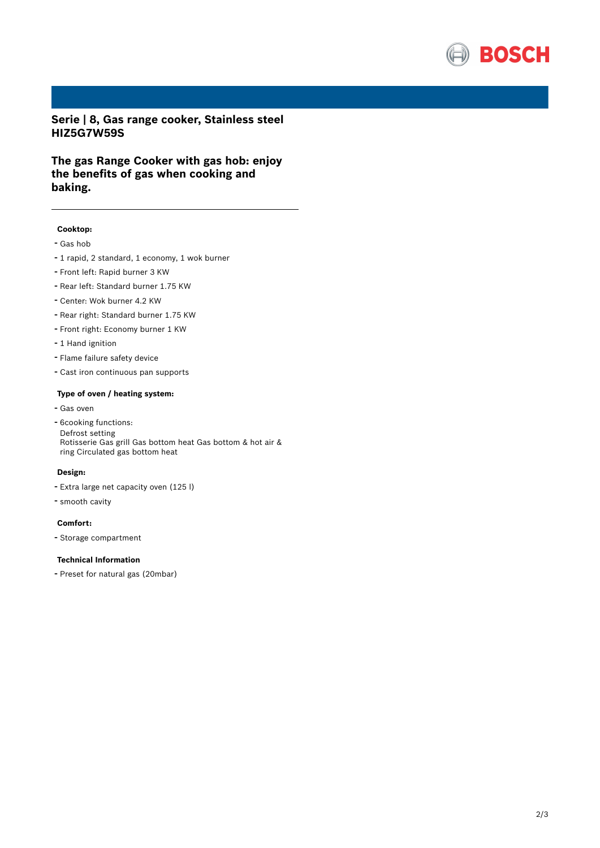

**Serie | 8, Gas range cooker, Stainless steel HIZ5G7W59S**

**The gas Range Cooker with gas hob: enjoy the benefits of gas when cooking and baking.**

### **Cooktop:**

- Gas hob
- <sup>1</sup> rapid, <sup>2</sup> standard, <sup>1</sup> economy, <sup>1</sup> wok burner
- Front left: Rapid burner <sup>3</sup> KW
- Rear left: Standard burner 1.75 KW
- Center: Wok burner 4.2 KW
- Rear right: Standard burner 1.75 KW
- Front right: Economy burner <sup>1</sup> KW
- 1 Hand ignition
- Flame failure safety device
- Cast iron continuous pan supports

#### **Type of oven / heating system:**

- Gas oven
- 6cooking functions: Defrost setting Rotisserie Gas grill Gas bottom heat Gas bottom & hot air & ring Circulated gas bottom heat

#### **Design:**

- Extra large net capacity oven (125 l)
- smooth cavity

## **Comfort:**

- Storage compartment

#### **Technical Information**

- Preset for natural gas (20mbar)